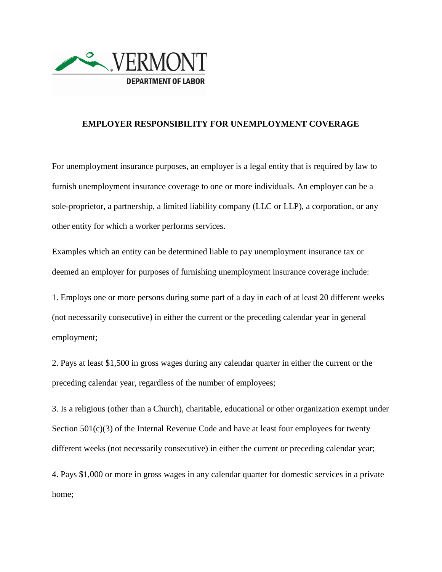

## **EMPLOYER RESPONSIBILITY FOR UNEMPLOYMENT COVERAGE**

For unemployment insurance purposes, an employer is a legal entity that is required by law to furnish unemployment insurance coverage to one or more individuals. An employer can be a sole-proprietor, a partnership, a limited liability company (LLC or LLP), a corporation, or any other entity for which a worker performs services.

Examples which an entity can be determined liable to pay unemployment insurance tax or deemed an employer for purposes of furnishing unemployment insurance coverage include:

1. Employs one or more persons during some part of a day in each of at least 20 different weeks (not necessarily consecutive) in either the current or the preceding calendar year in general employment;

2. Pays at least \$1,500 in gross wages during any calendar quarter in either the current or the preceding calendar year, regardless of the number of employees;

3. Is a religious (other than a Church), charitable, educational or other organization exempt under Section  $501(c)(3)$  of the Internal Revenue Code and have at least four employees for twenty different weeks (not necessarily consecutive) in either the current or preceding calendar year;

4. Pays \$1,000 or more in gross wages in any calendar quarter for domestic services in a private home;